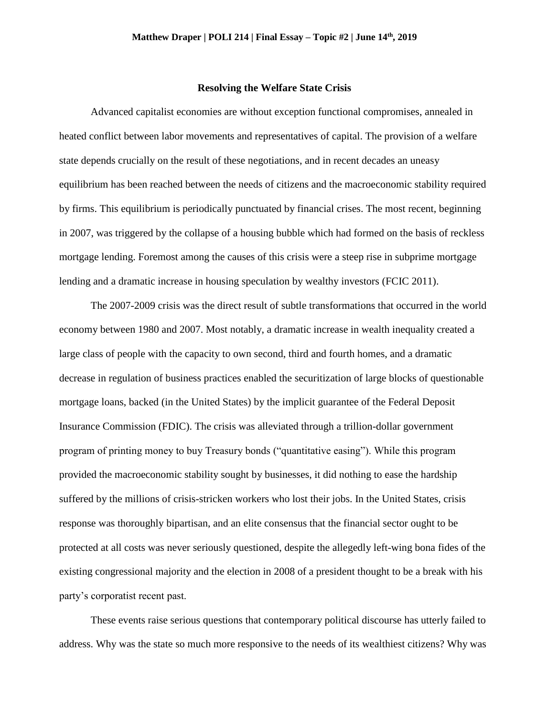## **Resolving the Welfare State Crisis**

Advanced capitalist economies are without exception functional compromises, annealed in heated conflict between labor movements and representatives of capital. The provision of a welfare state depends crucially on the result of these negotiations, and in recent decades an uneasy equilibrium has been reached between the needs of citizens and the macroeconomic stability required by firms. This equilibrium is periodically punctuated by financial crises. The most recent, beginning in 2007, was triggered by the collapse of a housing bubble which had formed on the basis of reckless mortgage lending. Foremost among the causes of this crisis were a steep rise in subprime mortgage lending and a dramatic increase in housing speculation by wealthy investors (FCIC 2011).

The 2007-2009 crisis was the direct result of subtle transformations that occurred in the world economy between 1980 and 2007. Most notably, a dramatic increase in wealth inequality created a large class of people with the capacity to own second, third and fourth homes, and a dramatic decrease in regulation of business practices enabled the securitization of large blocks of questionable mortgage loans, backed (in the United States) by the implicit guarantee of the Federal Deposit Insurance Commission (FDIC). The crisis was alleviated through a trillion-dollar government program of printing money to buy Treasury bonds ("quantitative easing"). While this program provided the macroeconomic stability sought by businesses, it did nothing to ease the hardship suffered by the millions of crisis-stricken workers who lost their jobs. In the United States, crisis response was thoroughly bipartisan, and an elite consensus that the financial sector ought to be protected at all costs was never seriously questioned, despite the allegedly left-wing bona fides of the existing congressional majority and the election in 2008 of a president thought to be a break with his party's corporatist recent past.

These events raise serious questions that contemporary political discourse has utterly failed to address. Why was the state so much more responsive to the needs of its wealthiest citizens? Why was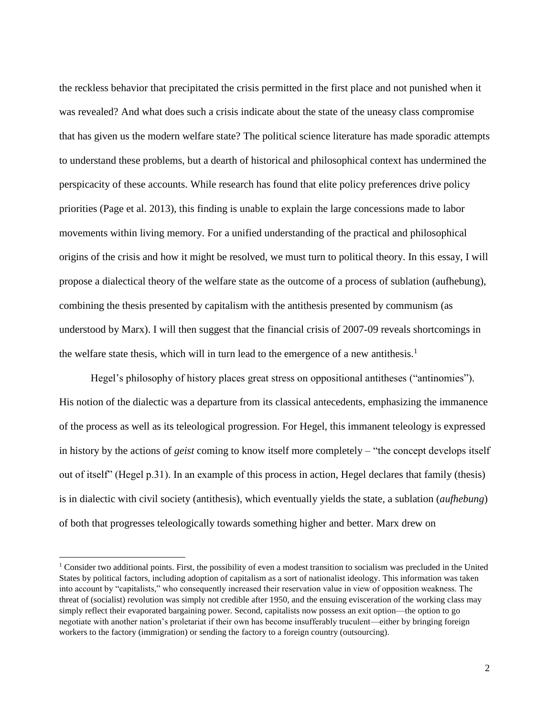the reckless behavior that precipitated the crisis permitted in the first place and not punished when it was revealed? And what does such a crisis indicate about the state of the uneasy class compromise that has given us the modern welfare state? The political science literature has made sporadic attempts to understand these problems, but a dearth of historical and philosophical context has undermined the perspicacity of these accounts. While research has found that elite policy preferences drive policy priorities (Page et al. 2013), this finding is unable to explain the large concessions made to labor movements within living memory. For a unified understanding of the practical and philosophical origins of the crisis and how it might be resolved, we must turn to political theory. In this essay, I will propose a dialectical theory of the welfare state as the outcome of a process of sublation (aufhebung), combining the thesis presented by capitalism with the antithesis presented by communism (as understood by Marx). I will then suggest that the financial crisis of 2007-09 reveals shortcomings in the welfare state thesis, which will in turn lead to the emergence of a new antithesis.<sup>1</sup>

Hegel's philosophy of history places great stress on oppositional antitheses ("antinomies"). His notion of the dialectic was a departure from its classical antecedents, emphasizing the immanence of the process as well as its teleological progression. For Hegel, this immanent teleology is expressed in history by the actions of *geist* coming to know itself more completely – "the concept develops itself out of itself" (Hegel p.31). In an example of this process in action, Hegel declares that family (thesis) is in dialectic with civil society (antithesis), which eventually yields the state, a sublation (*aufhebung*) of both that progresses teleologically towards something higher and better. Marx drew on

<sup>&</sup>lt;sup>1</sup> Consider two additional points. First, the possibility of even a modest transition to socialism was precluded in the United States by political factors, including adoption of capitalism as a sort of nationalist ideology. This information was taken into account by "capitalists," who consequently increased their reservation value in view of opposition weakness. The threat of (socialist) revolution was simply not credible after 1950, and the ensuing evisceration of the working class may simply reflect their evaporated bargaining power. Second, capitalists now possess an exit option—the option to go negotiate with another nation's proletariat if their own has become insufferably truculent—either by bringing foreign workers to the factory (immigration) or sending the factory to a foreign country (outsourcing).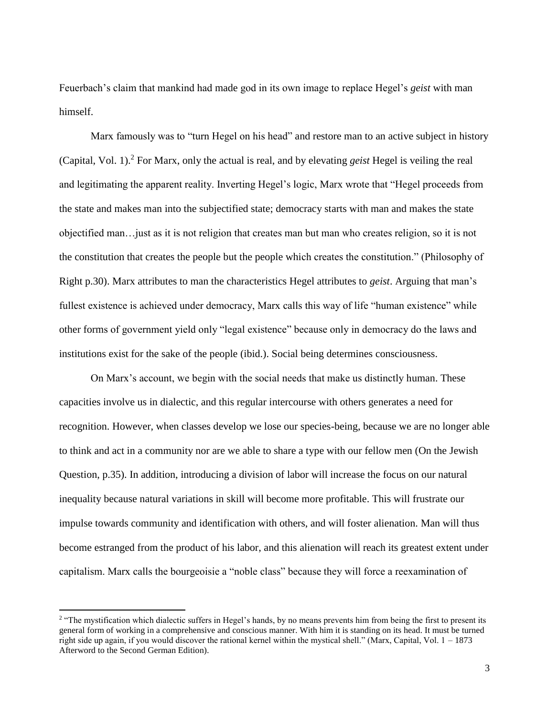Feuerbach's claim that mankind had made god in its own image to replace Hegel's *geist* with man himself.

Marx famously was to "turn Hegel on his head" and restore man to an active subject in history (Capital, Vol. 1).<sup>2</sup> For Marx, only the actual is real, and by elevating *geist* Hegel is veiling the real and legitimating the apparent reality. Inverting Hegel's logic, Marx wrote that "Hegel proceeds from the state and makes man into the subjectified state; democracy starts with man and makes the state objectified man…just as it is not religion that creates man but man who creates religion, so it is not the constitution that creates the people but the people which creates the constitution." (Philosophy of Right p.30). Marx attributes to man the characteristics Hegel attributes to *geist*. Arguing that man's fullest existence is achieved under democracy, Marx calls this way of life "human existence" while other forms of government yield only "legal existence" because only in democracy do the laws and institutions exist for the sake of the people (ibid.). Social being determines consciousness.

On Marx's account, we begin with the social needs that make us distinctly human. These capacities involve us in dialectic, and this regular intercourse with others generates a need for recognition. However, when classes develop we lose our species-being, because we are no longer able to think and act in a community nor are we able to share a type with our fellow men (On the Jewish Question, p.35). In addition, introducing a division of labor will increase the focus on our natural inequality because natural variations in skill will become more profitable. This will frustrate our impulse towards community and identification with others, and will foster alienation. Man will thus become estranged from the product of his labor, and this alienation will reach its greatest extent under capitalism. Marx calls the bourgeoisie a "noble class" because they will force a reexamination of

<sup>&</sup>lt;sup>2</sup> "The mystification which dialectic suffers in Hegel's hands, by no means prevents him from being the first to present its general form of working in a comprehensive and conscious manner. With him it is standing on its head. It must be turned right side up again, if you would discover the rational kernel within the mystical shell." (Marx, Capital, Vol. 1 – 1873 Afterword to the Second German Edition).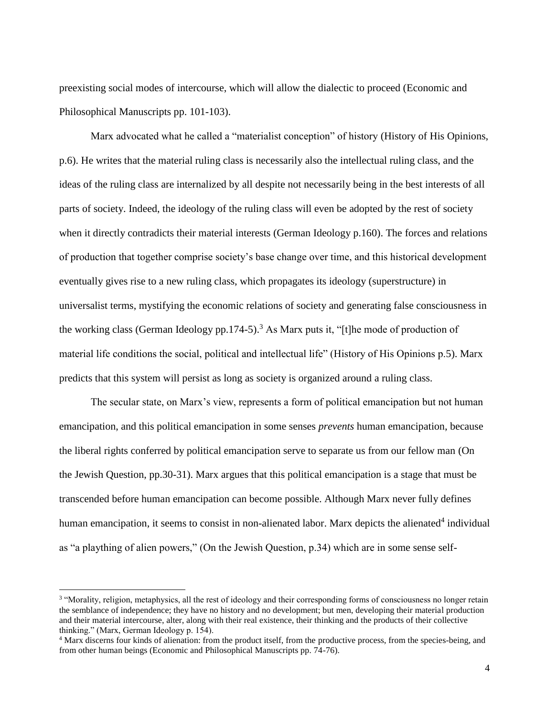preexisting social modes of intercourse, which will allow the dialectic to proceed (Economic and Philosophical Manuscripts pp. 101-103).

Marx advocated what he called a "materialist conception" of history (History of His Opinions, p.6). He writes that the material ruling class is necessarily also the intellectual ruling class, and the ideas of the ruling class are internalized by all despite not necessarily being in the best interests of all parts of society. Indeed, the ideology of the ruling class will even be adopted by the rest of society when it directly contradicts their material interests (German Ideology p.160). The forces and relations of production that together comprise society's base change over time, and this historical development eventually gives rise to a new ruling class, which propagates its ideology (superstructure) in universalist terms, mystifying the economic relations of society and generating false consciousness in the working class (German Ideology pp.174-5).<sup>3</sup> As Marx puts it, "[t]he mode of production of material life conditions the social, political and intellectual life" (History of His Opinions p.5). Marx predicts that this system will persist as long as society is organized around a ruling class.

The secular state, on Marx's view, represents a form of political emancipation but not human emancipation, and this political emancipation in some senses *prevents* human emancipation, because the liberal rights conferred by political emancipation serve to separate us from our fellow man (On the Jewish Question, pp.30-31). Marx argues that this political emancipation is a stage that must be transcended before human emancipation can become possible. Although Marx never fully defines human emancipation, it seems to consist in non-alienated labor. Marx depicts the alienated<sup>4</sup> individual as "a plaything of alien powers," (On the Jewish Question, p.34) which are in some sense self-

<sup>&</sup>lt;sup>3</sup> "Morality, religion, metaphysics, all the rest of ideology and their corresponding forms of consciousness no longer retain the semblance of independence; they have no history and no development; but men, developing their material production and their material intercourse, alter, along with their real existence, their thinking and the products of their collective thinking." (Marx, German Ideology p. 154).

<sup>4</sup> Marx discerns four kinds of alienation: from the product itself, from the productive process, from the species-being, and from other human beings (Economic and Philosophical Manuscripts pp. 74-76).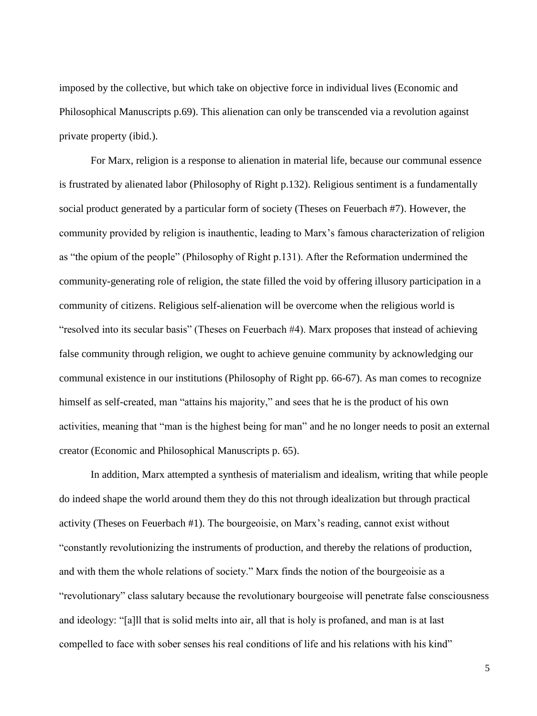imposed by the collective, but which take on objective force in individual lives (Economic and Philosophical Manuscripts p.69). This alienation can only be transcended via a revolution against private property (ibid.).

For Marx, religion is a response to alienation in material life, because our communal essence is frustrated by alienated labor (Philosophy of Right p.132). Religious sentiment is a fundamentally social product generated by a particular form of society (Theses on Feuerbach #7). However, the community provided by religion is inauthentic, leading to Marx's famous characterization of religion as "the opium of the people" (Philosophy of Right p.131). After the Reformation undermined the community-generating role of religion, the state filled the void by offering illusory participation in a community of citizens. Religious self-alienation will be overcome when the religious world is "resolved into its secular basis" (Theses on Feuerbach #4). Marx proposes that instead of achieving false community through religion, we ought to achieve genuine community by acknowledging our communal existence in our institutions (Philosophy of Right pp. 66-67). As man comes to recognize himself as self-created, man "attains his majority," and sees that he is the product of his own activities, meaning that "man is the highest being for man" and he no longer needs to posit an external creator (Economic and Philosophical Manuscripts p. 65).

In addition, Marx attempted a synthesis of materialism and idealism, writing that while people do indeed shape the world around them they do this not through idealization but through practical activity (Theses on Feuerbach #1). The bourgeoisie, on Marx's reading, cannot exist without "constantly revolutionizing the instruments of production, and thereby the relations of production, and with them the whole relations of society." Marx finds the notion of the bourgeoisie as a "revolutionary" class salutary because the revolutionary bourgeoise will penetrate false consciousness and ideology: "[a]ll that is solid melts into air, all that is holy is profaned, and man is at last compelled to face with sober senses his real conditions of life and his relations with his kind"

5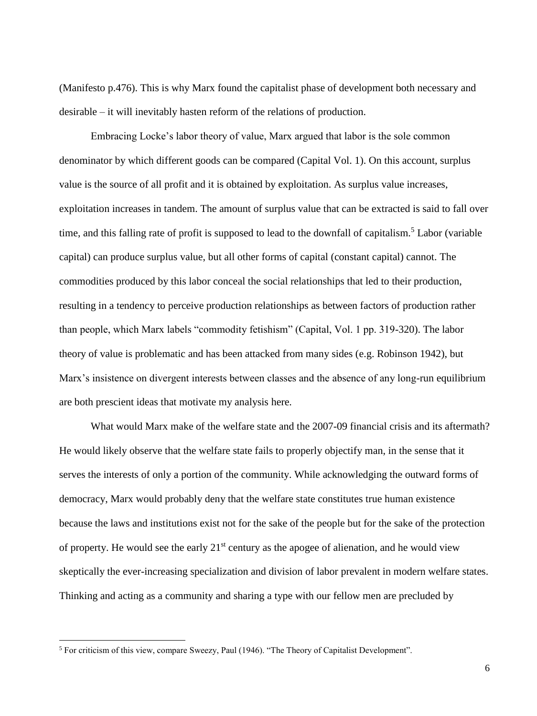(Manifesto p.476). This is why Marx found the capitalist phase of development both necessary and desirable – it will inevitably hasten reform of the relations of production.

Embracing Locke's labor theory of value, Marx argued that labor is the sole common denominator by which different goods can be compared (Capital Vol. 1). On this account, surplus value is the source of all profit and it is obtained by exploitation. As surplus value increases, exploitation increases in tandem. The amount of surplus value that can be extracted is said to fall over time, and this falling rate of profit is supposed to lead to the downfall of capitalism.<sup>5</sup> Labor (variable capital) can produce surplus value, but all other forms of capital (constant capital) cannot. The commodities produced by this labor conceal the social relationships that led to their production, resulting in a tendency to perceive production relationships as between factors of production rather than people, which Marx labels "commodity fetishism" (Capital, Vol. 1 pp. 319-320). The labor theory of value is problematic and has been attacked from many sides (e.g. Robinson 1942), but Marx's insistence on divergent interests between classes and the absence of any long-run equilibrium are both prescient ideas that motivate my analysis here.

What would Marx make of the welfare state and the 2007-09 financial crisis and its aftermath? He would likely observe that the welfare state fails to properly objectify man, in the sense that it serves the interests of only a portion of the community. While acknowledging the outward forms of democracy, Marx would probably deny that the welfare state constitutes true human existence because the laws and institutions exist not for the sake of the people but for the sake of the protection of property. He would see the early  $21^{st}$  century as the apogee of alienation, and he would view skeptically the ever-increasing specialization and division of labor prevalent in modern welfare states. Thinking and acting as a community and sharing a type with our fellow men are precluded by

<sup>&</sup>lt;sup>5</sup> For criticism of this view, compare Sweezy, Paul (1946). "The Theory of Capitalist Development".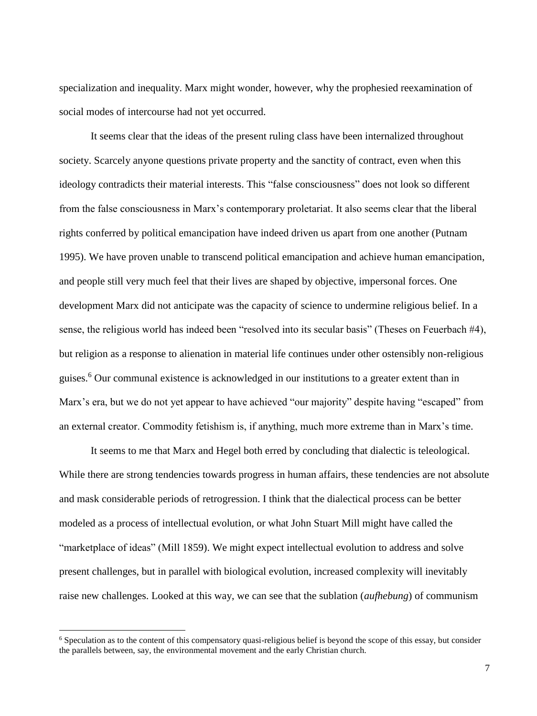specialization and inequality. Marx might wonder, however, why the prophesied reexamination of social modes of intercourse had not yet occurred.

It seems clear that the ideas of the present ruling class have been internalized throughout society. Scarcely anyone questions private property and the sanctity of contract, even when this ideology contradicts their material interests. This "false consciousness" does not look so different from the false consciousness in Marx's contemporary proletariat. It also seems clear that the liberal rights conferred by political emancipation have indeed driven us apart from one another (Putnam 1995). We have proven unable to transcend political emancipation and achieve human emancipation, and people still very much feel that their lives are shaped by objective, impersonal forces. One development Marx did not anticipate was the capacity of science to undermine religious belief. In a sense, the religious world has indeed been "resolved into its secular basis" (Theses on Feuerbach #4), but religion as a response to alienation in material life continues under other ostensibly non-religious guises.<sup>6</sup> Our communal existence is acknowledged in our institutions to a greater extent than in Marx's era, but we do not yet appear to have achieved "our majority" despite having "escaped" from an external creator. Commodity fetishism is, if anything, much more extreme than in Marx's time.

It seems to me that Marx and Hegel both erred by concluding that dialectic is teleological. While there are strong tendencies towards progress in human affairs, these tendencies are not absolute and mask considerable periods of retrogression. I think that the dialectical process can be better modeled as a process of intellectual evolution, or what John Stuart Mill might have called the "marketplace of ideas" (Mill 1859). We might expect intellectual evolution to address and solve present challenges, but in parallel with biological evolution, increased complexity will inevitably raise new challenges. Looked at this way, we can see that the sublation (*aufhebung*) of communism

<sup>&</sup>lt;sup>6</sup> Speculation as to the content of this compensatory quasi-religious belief is beyond the scope of this essay, but consider the parallels between, say, the environmental movement and the early Christian church.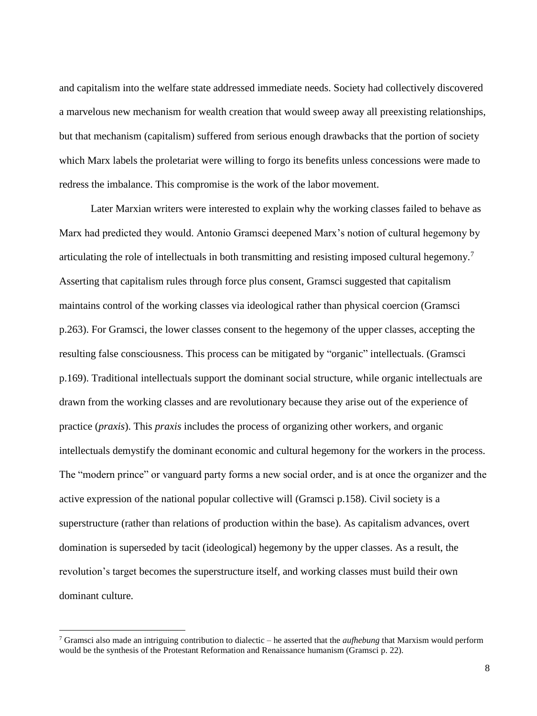and capitalism into the welfare state addressed immediate needs. Society had collectively discovered a marvelous new mechanism for wealth creation that would sweep away all preexisting relationships, but that mechanism (capitalism) suffered from serious enough drawbacks that the portion of society which Marx labels the proletariat were willing to forgo its benefits unless concessions were made to redress the imbalance. This compromise is the work of the labor movement.

Later Marxian writers were interested to explain why the working classes failed to behave as Marx had predicted they would. Antonio Gramsci deepened Marx's notion of cultural hegemony by articulating the role of intellectuals in both transmitting and resisting imposed cultural hegemony.<sup>7</sup> Asserting that capitalism rules through force plus consent, Gramsci suggested that capitalism maintains control of the working classes via ideological rather than physical coercion (Gramsci p.263). For Gramsci, the lower classes consent to the hegemony of the upper classes, accepting the resulting false consciousness. This process can be mitigated by "organic" intellectuals. (Gramsci p.169). Traditional intellectuals support the dominant social structure, while organic intellectuals are drawn from the working classes and are revolutionary because they arise out of the experience of practice (*praxis*). This *praxis* includes the process of organizing other workers, and organic intellectuals demystify the dominant economic and cultural hegemony for the workers in the process. The "modern prince" or vanguard party forms a new social order, and is at once the organizer and the active expression of the national popular collective will (Gramsci p.158). Civil society is a superstructure (rather than relations of production within the base). As capitalism advances, overt domination is superseded by tacit (ideological) hegemony by the upper classes. As a result, the revolution's target becomes the superstructure itself, and working classes must build their own dominant culture.

<sup>7</sup> Gramsci also made an intriguing contribution to dialectic – he asserted that the *aufhebung* that Marxism would perform would be the synthesis of the Protestant Reformation and Renaissance humanism (Gramsci p. 22).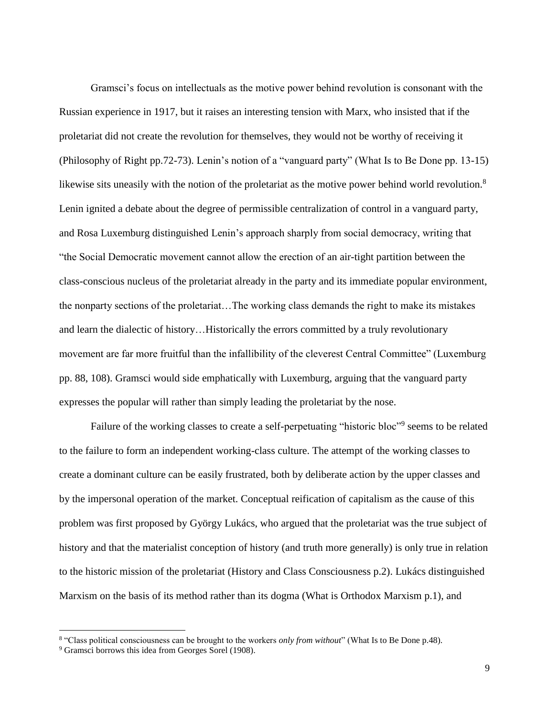Gramsci's focus on intellectuals as the motive power behind revolution is consonant with the Russian experience in 1917, but it raises an interesting tension with Marx, who insisted that if the proletariat did not create the revolution for themselves, they would not be worthy of receiving it (Philosophy of Right pp.72-73). Lenin's notion of a "vanguard party" (What Is to Be Done pp. 13-15) likewise sits uneasily with the notion of the proletariat as the motive power behind world revolution.<sup>8</sup> Lenin ignited a debate about the degree of permissible centralization of control in a vanguard party, and Rosa Luxemburg distinguished Lenin's approach sharply from social democracy, writing that "the Social Democratic movement cannot allow the erection of an air-tight partition between the class-conscious nucleus of the proletariat already in the party and its immediate popular environment, the nonparty sections of the proletariat…The working class demands the right to make its mistakes and learn the dialectic of history…Historically the errors committed by a truly revolutionary movement are far more fruitful than the infallibility of the cleverest Central Committee" (Luxemburg pp. 88, 108). Gramsci would side emphatically with Luxemburg, arguing that the vanguard party expresses the popular will rather than simply leading the proletariat by the nose.

Failure of the working classes to create a self-perpetuating "historic bloc"<sup>9</sup> seems to be related to the failure to form an independent working-class culture. The attempt of the working classes to create a dominant culture can be easily frustrated, both by deliberate action by the upper classes and by the impersonal operation of the market. Conceptual reification of capitalism as the cause of this problem was first proposed by György Lukács, who argued that the proletariat was the true subject of history and that the materialist conception of history (and truth more generally) is only true in relation to the historic mission of the proletariat (History and Class Consciousness p.2). Lukács distinguished Marxism on the basis of its method rather than its dogma (What is Orthodox Marxism p.1), and

<sup>8</sup> "Class political consciousness can be brought to the workers *only from without*" (What Is to Be Done p.48).

<sup>&</sup>lt;sup>9</sup> Gramsci borrows this idea from Georges Sorel (1908).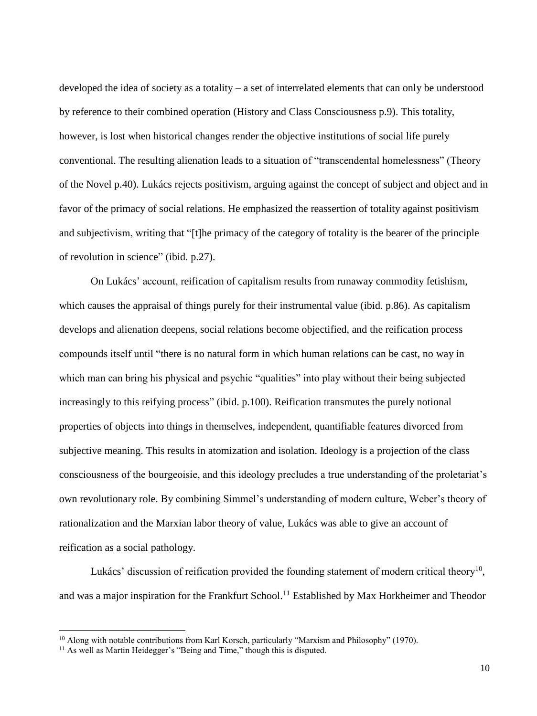developed the idea of society as a totality – a set of interrelated elements that can only be understood by reference to their combined operation (History and Class Consciousness p.9). This totality, however, is lost when historical changes render the objective institutions of social life purely conventional. The resulting alienation leads to a situation of "transcendental homelessness" (Theory of the Novel p.40). Lukács rejects positivism, arguing against the concept of subject and object and in favor of the primacy of social relations. He emphasized the reassertion of totality against positivism and subjectivism, writing that "[t]he primacy of the category of totality is the bearer of the principle of revolution in science" (ibid. p.27).

On Lukács' account, reification of capitalism results from runaway commodity fetishism, which causes the appraisal of things purely for their instrumental value (ibid. p.86). As capitalism develops and alienation deepens, social relations become objectified, and the reification process compounds itself until "there is no natural form in which human relations can be cast, no way in which man can bring his physical and psychic "qualities" into play without their being subjected increasingly to this reifying process" (ibid. p.100). Reification transmutes the purely notional properties of objects into things in themselves, independent, quantifiable features divorced from subjective meaning. This results in atomization and isolation. Ideology is a projection of the class consciousness of the bourgeoisie, and this ideology precludes a true understanding of the proletariat's own revolutionary role. By combining Simmel's understanding of modern culture, Weber's theory of rationalization and the Marxian labor theory of value, Lukács was able to give an account of reification as a social pathology.

Lukács' discussion of reification provided the founding statement of modern critical theory<sup>10</sup>, and was a major inspiration for the Frankfurt School.<sup>11</sup> Established by Max Horkheimer and Theodor

<sup>&</sup>lt;sup>10</sup> Along with notable contributions from Karl Korsch, particularly "Marxism and Philosophy" (1970).

<sup>&</sup>lt;sup>11</sup> As well as Martin Heidegger's "Being and Time," though this is disputed.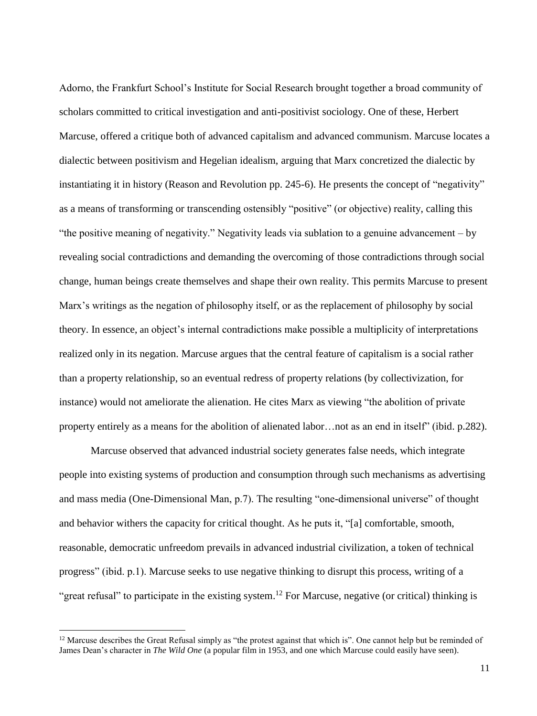Adorno, the Frankfurt School's Institute for Social Research brought together a broad community of scholars committed to critical investigation and anti-positivist sociology. One of these, Herbert Marcuse, offered a critique both of advanced capitalism and advanced communism. Marcuse locates a dialectic between positivism and Hegelian idealism, arguing that Marx concretized the dialectic by instantiating it in history (Reason and Revolution pp. 245-6). He presents the concept of "negativity" as a means of transforming or transcending ostensibly "positive" (or objective) reality, calling this "the positive meaning of negativity." Negativity leads via sublation to a genuine advancement – by revealing social contradictions and demanding the overcoming of those contradictions through social change, human beings create themselves and shape their own reality. This permits Marcuse to present Marx's writings as the negation of philosophy itself, or as the replacement of philosophy by social theory. In essence, an object's internal contradictions make possible a multiplicity of interpretations realized only in its negation. Marcuse argues that the central feature of capitalism is a social rather than a property relationship, so an eventual redress of property relations (by collectivization, for instance) would not ameliorate the alienation. He cites Marx as viewing "the abolition of private property entirely as a means for the abolition of alienated labor…not as an end in itself" (ibid. p.282).

Marcuse observed that advanced industrial society generates false needs, which integrate people into existing systems of production and consumption through such mechanisms as advertising and mass media (One-Dimensional Man, p.7). The resulting "one-dimensional universe" of thought and behavior withers the capacity for critical thought. As he puts it, "[a] comfortable, smooth, reasonable, democratic unfreedom prevails in advanced industrial civilization, a token of technical progress" (ibid. p.1). Marcuse seeks to use negative thinking to disrupt this process, writing of a "great refusal" to participate in the existing system.<sup>12</sup> For Marcuse, negative (or critical) thinking is

 $12$  Marcuse describes the Great Refusal simply as "the protest against that which is". One cannot help but be reminded of James Dean's character in *The Wild One* (a popular film in 1953, and one which Marcuse could easily have seen).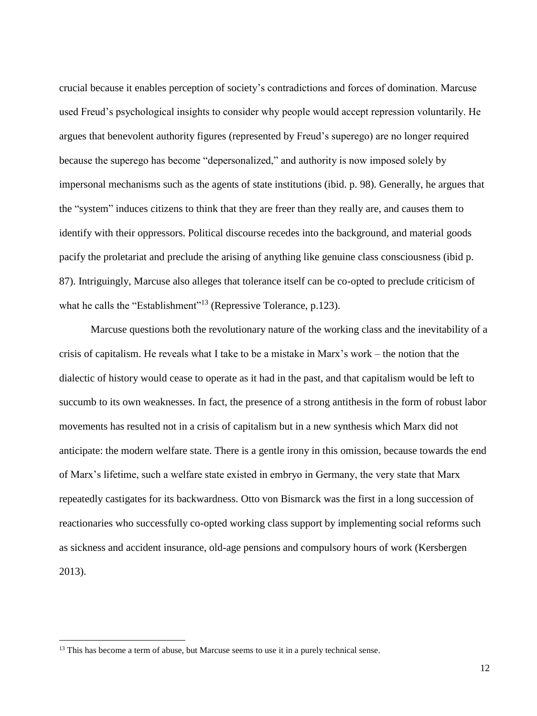crucial because it enables perception of society's contradictions and forces of domination. Marcuse used Freud's psychological insights to consider why people would accept repression voluntarily. He argues that benevolent authority figures (represented by Freud's superego) are no longer required because the superego has become "depersonalized," and authority is now imposed solely by impersonal mechanisms such as the agents of state institutions (ibid. p. 98). Generally, he argues that the "system" induces citizens to think that they are freer than they really are, and causes them to identify with their oppressors. Political discourse recedes into the background, and material goods pacify the proletariat and preclude the arising of anything like genuine class consciousness (ibid p. 87). Intriguingly, Marcuse also alleges that tolerance itself can be co-opted to preclude criticism of what he calls the "Establishment"<sup>13</sup> (Repressive Tolerance, p.123).

Marcuse questions both the revolutionary nature of the working class and the inevitability of a crisis of capitalism. He reveals what I take to be a mistake in Marx's work – the notion that the dialectic of history would cease to operate as it had in the past, and that capitalism would be left to succumb to its own weaknesses. In fact, the presence of a strong antithesis in the form of robust labor movements has resulted not in a crisis of capitalism but in a new synthesis which Marx did not anticipate: the modern welfare state. There is a gentle irony in this omission, because towards the end of Marx's lifetime, such a welfare state existed in embryo in Germany, the very state that Marx repeatedly castigates for its backwardness. Otto von Bismarck was the first in a long succession of reactionaries who successfully co-opted working class support by implementing social reforms such as sickness and accident insurance, old-age pensions and compulsory hours of work (Kersbergen 2013).

 $13$  This has become a term of abuse, but Marcuse seems to use it in a purely technical sense.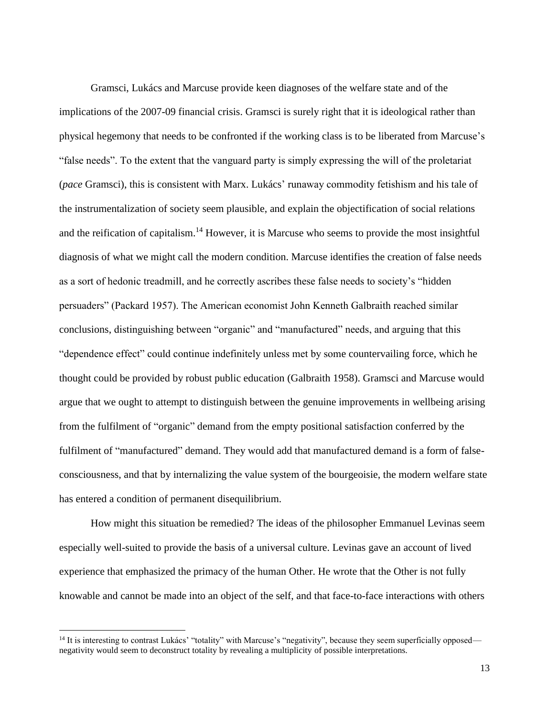Gramsci, Lukács and Marcuse provide keen diagnoses of the welfare state and of the implications of the 2007-09 financial crisis. Gramsci is surely right that it is ideological rather than physical hegemony that needs to be confronted if the working class is to be liberated from Marcuse's "false needs". To the extent that the vanguard party is simply expressing the will of the proletariat (*pace* Gramsci), this is consistent with Marx. Lukács' runaway commodity fetishism and his tale of the instrumentalization of society seem plausible, and explain the objectification of social relations and the reification of capitalism.<sup>14</sup> However, it is Marcuse who seems to provide the most insightful diagnosis of what we might call the modern condition. Marcuse identifies the creation of false needs as a sort of hedonic treadmill, and he correctly ascribes these false needs to society's "hidden persuaders" (Packard 1957). The American economist John Kenneth Galbraith reached similar conclusions, distinguishing between "organic" and "manufactured" needs, and arguing that this "dependence effect" could continue indefinitely unless met by some countervailing force, which he thought could be provided by robust public education (Galbraith 1958). Gramsci and Marcuse would argue that we ought to attempt to distinguish between the genuine improvements in wellbeing arising from the fulfilment of "organic" demand from the empty positional satisfaction conferred by the fulfilment of "manufactured" demand. They would add that manufactured demand is a form of falseconsciousness, and that by internalizing the value system of the bourgeoisie, the modern welfare state has entered a condition of permanent disequilibrium.

How might this situation be remedied? The ideas of the philosopher Emmanuel Levinas seem especially well-suited to provide the basis of a universal culture. Levinas gave an account of lived experience that emphasized the primacy of the human Other. He wrote that the Other is not fully knowable and cannot be made into an object of the self, and that face-to-face interactions with others

<sup>&</sup>lt;sup>14</sup> It is interesting to contrast Lukács' "totality" with Marcuse's "negativity", because they seem superficially opposed negativity would seem to deconstruct totality by revealing a multiplicity of possible interpretations.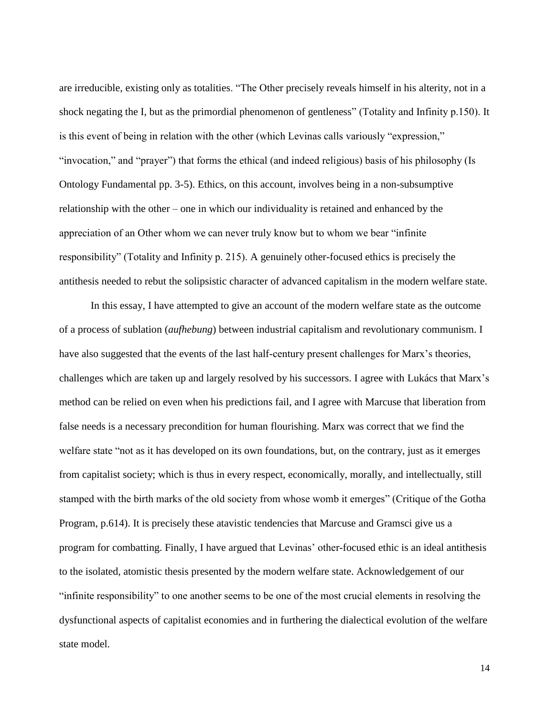are irreducible, existing only as totalities. "The Other precisely reveals himself in his alterity, not in a shock negating the I, but as the primordial phenomenon of gentleness" (Totality and Infinity p.150). It is this event of being in relation with the other (which Levinas calls variously "expression," "invocation," and "prayer") that forms the ethical (and indeed religious) basis of his philosophy (Is Ontology Fundamental pp. 3-5). Ethics, on this account, involves being in a non-subsumptive relationship with the other – one in which our individuality is retained and enhanced by the appreciation of an Other whom we can never truly know but to whom we bear "infinite responsibility" (Totality and Infinity p. 215). A genuinely other-focused ethics is precisely the antithesis needed to rebut the solipsistic character of advanced capitalism in the modern welfare state.

In this essay, I have attempted to give an account of the modern welfare state as the outcome of a process of sublation (*aufhebung*) between industrial capitalism and revolutionary communism. I have also suggested that the events of the last half-century present challenges for Marx's theories, challenges which are taken up and largely resolved by his successors. I agree with Lukács that Marx's method can be relied on even when his predictions fail, and I agree with Marcuse that liberation from false needs is a necessary precondition for human flourishing. Marx was correct that we find the welfare state "not as it has developed on its own foundations, but, on the contrary, just as it emerges from capitalist society; which is thus in every respect, economically, morally, and intellectually, still stamped with the birth marks of the old society from whose womb it emerges" (Critique of the Gotha Program, p.614). It is precisely these atavistic tendencies that Marcuse and Gramsci give us a program for combatting. Finally, I have argued that Levinas' other-focused ethic is an ideal antithesis to the isolated, atomistic thesis presented by the modern welfare state. Acknowledgement of our "infinite responsibility" to one another seems to be one of the most crucial elements in resolving the dysfunctional aspects of capitalist economies and in furthering the dialectical evolution of the welfare state model.

14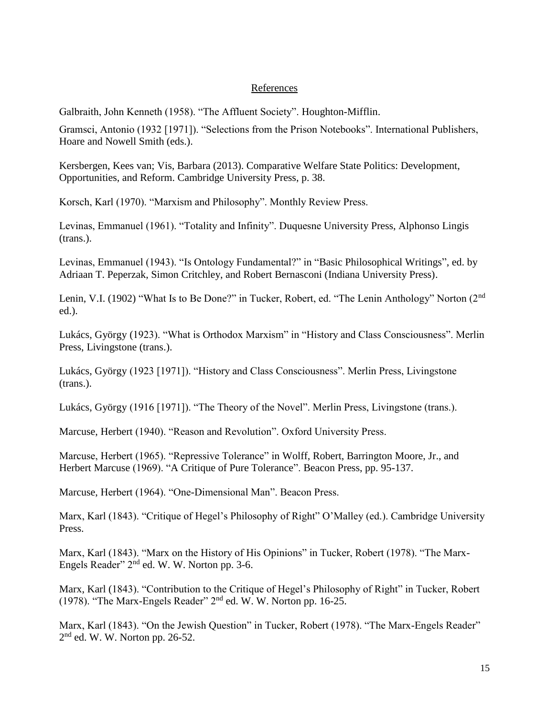## References

Galbraith, John Kenneth (1958). "The Affluent Society". Houghton-Mifflin.

Gramsci, Antonio (1932 [1971]). "Selections from the Prison Notebooks". International Publishers, Hoare and Nowell Smith (eds.).

Kersbergen, Kees van; Vis, Barbara (2013). Comparative Welfare State Politics: Development, Opportunities, and Reform. Cambridge University Press, p. 38.

Korsch, Karl (1970). "Marxism and Philosophy". Monthly Review Press.

Levinas, Emmanuel (1961). "Totality and Infinity". Duquesne University Press, Alphonso Lingis (trans.).

Levinas, Emmanuel (1943). "Is Ontology Fundamental?" in "Basic Philosophical Writings", ed. by Adriaan T. Peperzak, Simon Critchley, and Robert Bernasconi (Indiana University Press).

Lenin, V.I. (1902) "What Is to Be Done?" in Tucker, Robert, ed. "The Lenin Anthology" Norton (2<sup>nd</sup>) ed.).

Lukács, György (1923). "What is Orthodox Marxism" in "History and Class Consciousness". Merlin Press, Livingstone (trans.).

Lukács, György (1923 [1971]). "History and Class Consciousness". Merlin Press, Livingstone (trans.).

Lukács, György (1916 [1971]). "The Theory of the Novel". Merlin Press, Livingstone (trans.).

Marcuse, Herbert (1940). "Reason and Revolution". Oxford University Press.

Marcuse, Herbert (1965). "Repressive Tolerance" in Wolff, Robert, Barrington Moore, Jr., and Herbert Marcuse (1969). "A Critique of Pure Tolerance". Beacon Press, pp. 95-137.

Marcuse, Herbert (1964). "One-Dimensional Man". Beacon Press.

Marx, Karl (1843). "Critique of Hegel's Philosophy of Right" O'Malley (ed.). Cambridge University Press.

Marx, Karl (1843). "Marx on the History of His Opinions" in Tucker, Robert (1978). "The Marx-Engels Reader" 2<sup>nd</sup> ed. W. W. Norton pp. 3-6.

Marx, Karl (1843). "Contribution to the Critique of Hegel's Philosophy of Right" in Tucker, Robert (1978). "The Marx-Engels Reader" 2nd ed. W. W. Norton pp. 16-25.

Marx, Karl (1843). "On the Jewish Question" in Tucker, Robert (1978). "The Marx-Engels Reader" 2<sup>nd</sup> ed. W. W. Norton pp. 26-52.